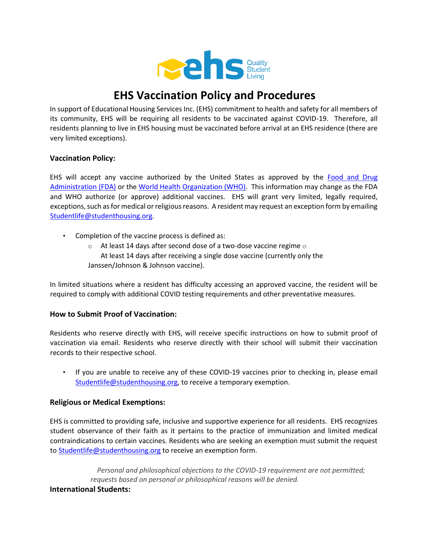

# **EHS Vaccination Policy and Procedures**

In support of Educational Housing Services Inc. (EHS) commitment to health and safety for all members of its community, EHS will be requiring all residents to be vaccinated against COVID-19. Therefore, all residents planning to live in EHS housing must be vaccinated before arrival at an EHS residence (there are very limited exceptions).

# **Vaccination Policy:**

EHS will accept any vaccine authorized by the United States as approved by the [Food and Drug](https://www.fda.gov/emergency-preparedness-and-response/coronavirus-disease-2019-covid-19/covid-19-vaccines) [Administration \(FDA\)](https://www.fda.gov/emergency-preparedness-and-response/coronavirus-disease-2019-covid-19/covid-19-vaccines) [o](https://www.fda.gov/emergency-preparedness-and-response/coronavirus-disease-2019-covid-19/covid-19-vaccines)r th[e](https://www.who.int/news/item/01-06-2021-who-validates-sinovac-covid-19-vaccine-for-emergency-use-and-issues-interim-policy-recommendations) [World Health Organization \(WHO\).](https://www.who.int/news/item/01-06-2021-who-validates-sinovac-covid-19-vaccine-for-emergency-use-and-issues-interim-policy-recommendations) This information may change as the FDA and WHO authorize (or approve) additional vaccines. EHS will grant very limited, legally required, exceptions, such as for medical or religious reasons. A resident may request an exception form by emailing Studentlife@studenthousing.org.

- Completion of the vaccine process is defined as:
	- $\circ$  At least 14 days after second dose of a two-dose vaccine regime  $\circ$ At least 14 days after receiving a single dose vaccine (currently only the Janssen/Johnson & Johnson vaccine).

In limited situations where a resident has difficulty accessing an approved vaccine, the resident will be required to comply with additional COVID testing requirements and other preventative measures.

# **How to Submit Proof of Vaccination:**

Residents who reserve directly with EHS, will receive specific instructions on how to submit proof of vaccination via email. Residents who reserve directly with their school will submit their vaccination records to their respective school.

• If you are unable to receive any of these COVID-19 vaccines prior to checking in, please email Studentlife@studenthousing.org, to receive a temporary exemption.

#### **Religious or Medical Exemptions:**

EHS is committed to providing safe, inclusive and supportive experience for all residents. EHS recognizes student observance of their faith as it pertains to the practice of immunization and limited medical contraindications to certain vaccines. Residents who are seeking an exemption must submit the request to Studentlife@studenthousing.org to receive an exemption form.

*Personal and philosophical objections to the COVID-19 requirement are not permitted; requests based on personal or philosophical reasons will be denied.*  **International Students:**